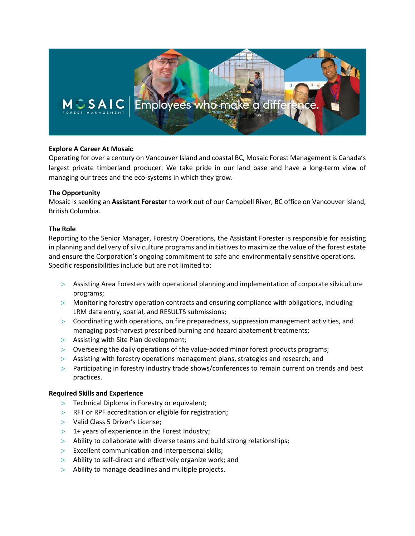

# **Explore A Career At Mosaic**

Operating for over a century on Vancouver Island and coastal BC, Mosaic Forest Management is Canada's largest private timberland producer. We take pride in our land base and have a long-term view of managing our trees and the eco-systems in which they grow.

### **The Opportunity**

Mosaic is seeking an **Assistant Forester** to work out of our Campbell River, BC office on Vancouver Island, British Columbia.

## **The Role**

Reporting to the Senior Manager, Forestry Operations, the Assistant Forester is responsible for assisting in planning and delivery of silviculture programs and initiatives to maximize the value of the forest estate and ensure the Corporation's ongoing commitment to safe and environmentally sensitive operations. Specific responsibilities include but are not limited to:

- > Assisting Area Foresters with operational planning and implementation of corporate silviculture programs;
- > Monitoring forestry operation contracts and ensuring compliance with obligations, including LRM data entry, spatial, and RESULTS submissions;
- > Coordinating with operations, on fire preparedness, suppression management activities, and managing post-harvest prescribed burning and hazard abatement treatments;
- > Assisting with Site Plan development;
- > Overseeing the daily operations of the value-added minor forest products programs;
- > Assisting with forestry operations management plans, strategies and research; and
- > Participating in forestry industry trade shows/conferences to remain current on trends and best practices.

### **Required Skills and Experience**

- > Technical Diploma in Forestry or equivalent;
- > RFT or RPF accreditation or eligible for registration;
- > Valid Class 5 Driver's License;
- $>$  1+ years of experience in the Forest Industry;
- $>$  Ability to collaborate with diverse teams and build strong relationships;
- > Excellent communication and interpersonal skills;
- > Ability to self-direct and effectively organize work; and
- > Ability to manage deadlines and multiple projects.